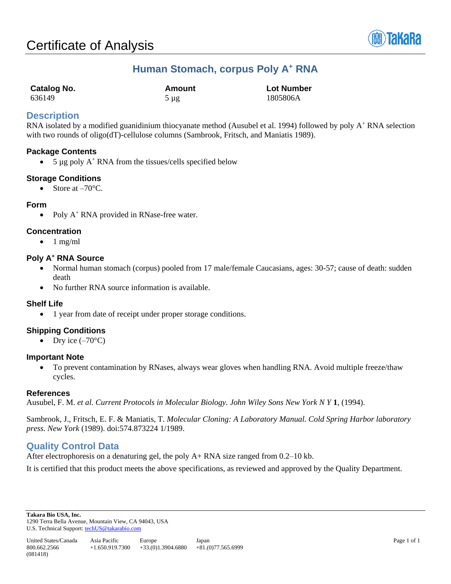

# **Human Stomach, corpus Poly A<sup>+</sup> RNA**

| <b>Catalog No.</b> | Amount    | <b>Lot Number</b> |
|--------------------|-----------|-------------------|
| 636149             | $5 \mu$ g | 1805806A          |

## **Description**

RNA isolated by a modified guanidinium thiocyanate method (Ausubel et al. 1994) followed by poly A<sup>+</sup> RNA selection with two rounds of oligo(dT)-cellulose columns (Sambrook, Fritsch, and Maniatis 1989).

### **Package Contents**

• 5  $\mu$ g poly A<sup>+</sup> RNA from the tissues/cells specified below

### **Storage Conditions**

• Store at  $-70^{\circ}$ C.

#### **Form**

• Poly  $A^+$  RNA provided in RNase-free water.

#### **Concentration**

 $\bullet$  1 mg/ml

#### **Poly A<sup>+</sup> RNA Source**

- Normal human stomach (corpus) pooled from 17 male/female Caucasians, ages: 30-57; cause of death: sudden death
- No further RNA source information is available.

#### **Shelf Life**

• 1 year from date of receipt under proper storage conditions.

## **Shipping Conditions**

• Dry ice  $(-70^{\circ}C)$ 

#### **Important Note**

• To prevent contamination by RNases, always wear gloves when handling RNA. Avoid multiple freeze/thaw cycles.

#### **References**

Ausubel, F. M. *et al. Current Protocols in Molecular Biology. John Wiley Sons New York N Y* **1**, (1994).

Sambrook, J., Fritsch, E. F. & Maniatis, T. *Molecular Cloning: A Laboratory Manual. Cold Spring Harbor laboratory press. New York* (1989). doi:574.873224 1/1989.

## **Quality Control Data**

After electrophoresis on a denaturing gel, the poly A+ RNA size ranged from 0.2–10 kb.

It is certified that this product meets the above specifications, as reviewed and approved by the Quality Department.